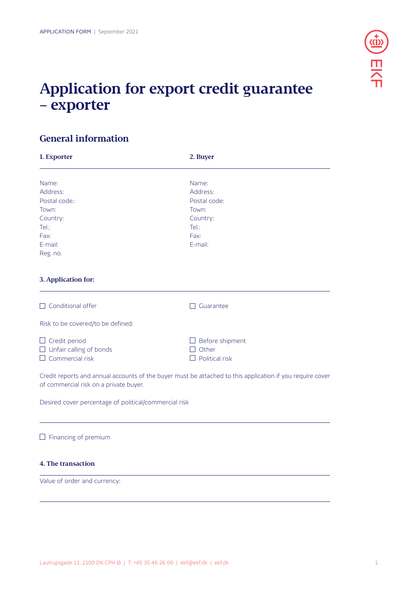

# **Application for export credit guarantee – exporter**

# **General information**

| 1. Exporter                                           | 2. Buyer                                                                                                  |
|-------------------------------------------------------|-----------------------------------------------------------------------------------------------------------|
| Name:                                                 | Name:                                                                                                     |
| Address:                                              | Address:                                                                                                  |
| Postal code.:                                         | Postal code:                                                                                              |
| Town:                                                 | Town:                                                                                                     |
| Country:                                              | Country:                                                                                                  |
| Tel:                                                  | Tel:                                                                                                      |
| Fax:                                                  | Fax:                                                                                                      |
| E-mail:                                               | E-mail:                                                                                                   |
| Reg. no.                                              |                                                                                                           |
|                                                       |                                                                                                           |
| 3. Application for:                                   |                                                                                                           |
| Conditional offer                                     | Guarantee                                                                                                 |
| Risk to be covered/to be defined:                     |                                                                                                           |
| Credit period<br>Unfair calling of bonds              | Before shipment<br>Other<br>$\blacksquare$                                                                |
| Commercial risk                                       | Political risk                                                                                            |
| of commercial risk on a private buyer.                | Credit reports and annual accounts of the buyer must be attached to this application if you require cover |
| Desired cover percentage of political/commercial risk |                                                                                                           |

 $\square$  Financing of premium

# **4. The transaction**

Value of order and currency: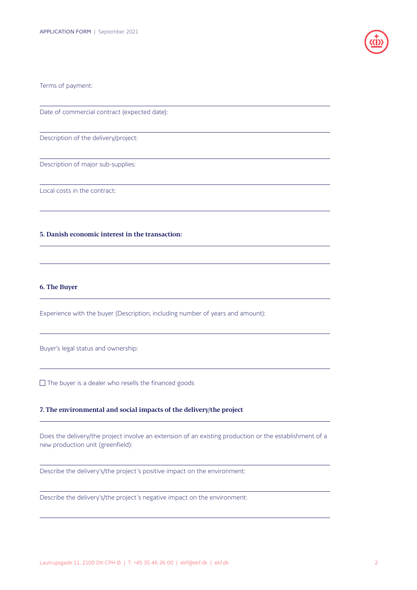

#### Terms of payment:

Date of commercial contract (expected date):

Description of the delivery/project:

Description of major sub-supplies:

Local costs in the contract:

# **5. Danish economic interest in the transaction:**

#### **6. The Buyer**

Experience with the buyer (Description, including number of years and amount):

Buyer's legal status and ownership:

 $\Box$  The buyer is a dealer who resells the financed goods

## **7. The environmental and social impacts of the delivery/the project**

Does the delivery/the project involve an extension of an existing production or the establishment of a new production unit (greenfield):

Describe the delivery's/the project´s positive impact on the environment:

Describe the delivery's/the project´s negative impact on the environment: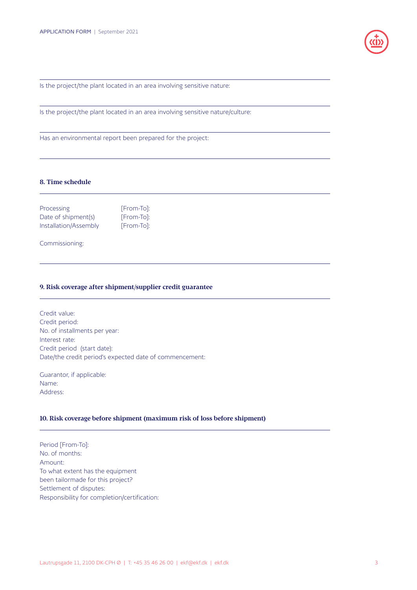

Is the project/the plant located in an area involving sensitive nature:

Is the project/the plant located in an area involving sensitive nature/culture:

Has an environmental report been prepared for the project:

### **8. Time schedule**

| Processing            | [From-To]: |
|-----------------------|------------|
| Date of shipment(s)   | [From-To]: |
| Installation/Assembly | [From-To]: |

Commissioning:

#### **9. Risk coverage after shipment/supplier credit guarantee**

Credit value: Credit period: No. of installments per year: Interest rate: Credit period (start date): Date/the credit period's expected date of commencement:

Guarantor, if applicable: Name: Address:

#### **10. Risk coverage before shipment (maximum risk of loss before shipment)**

Period [From-To]: No. of months: Amount: To what extent has the equipment been tailormade for this project? Settlement of disputes: Responsibility for completion/certification: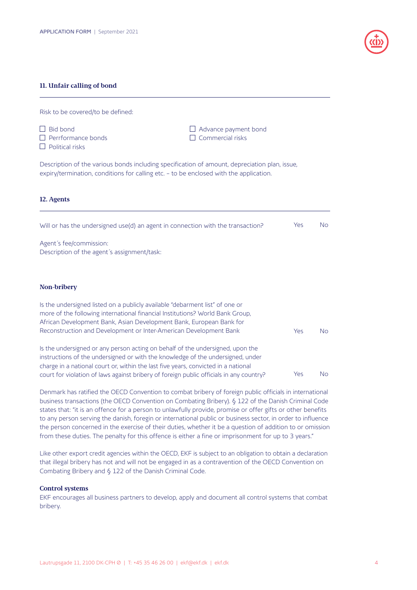#### **11. Unfair calling of bond**

Risk to be covered/to be defined:



#### **12. Agents**

**D** Political risks

| Will or has the undersigned use(d) an agent in connection with the transaction?                                                                                                                                                      | Yes | No |
|--------------------------------------------------------------------------------------------------------------------------------------------------------------------------------------------------------------------------------------|-----|----|
| Agent's fee/commission:<br>Description of the agent's assignment/task:                                                                                                                                                               |     |    |
| Non-bribery                                                                                                                                                                                                                          |     |    |
| Is the undersigned listed on a publicly available "debarment list" of one or<br>more of the following international financial Institutions? World Bank Group,<br>African Development Bank, Asian Development Bank, European Bank for |     |    |
| Reconstruction and Development or Inter-American Development Bank                                                                                                                                                                    | Yes | No |
| Le the understanded or any person acting on behalf of the understand upon the                                                                                                                                                        |     |    |

Is the undersigned or any person acting on behalf of the undersigned, upon the instructions of the undersigned or with the knowledge of the undersigned, under charge in a national court or, within the last five years, convicted in a national court for violation of laws against bribery of foreign public officials in any country? Yes No

Denmark has ratified the OECD Convention to combat bribery of foreign public officials in international business transactions (the OECD Convention on Combating Bribery). § 122 of the Danish Criminal Code states that: "it is an offence for a person to unlawfully provide, promise or offer gifts or other benefits to any person serving the danish, foregin or international public or business sector, in order to influence the person concerned in the exercise of their duties, whether it be a question of addition to or omission from these duties. The penalty for this offence is either a fine or imprisonment for up to 3 years."

Like other export credit agencies within the OECD, EKF is subject to an obligation to obtain a declaration that illegal bribery has not and will not be engaged in as a contravention of the OECD Convention on Combating Bribery and § 122 of the Danish Criminal Code.

#### **Control systems**

EKF encourages all business partners to develop, apply and document all control systems that combat bribery.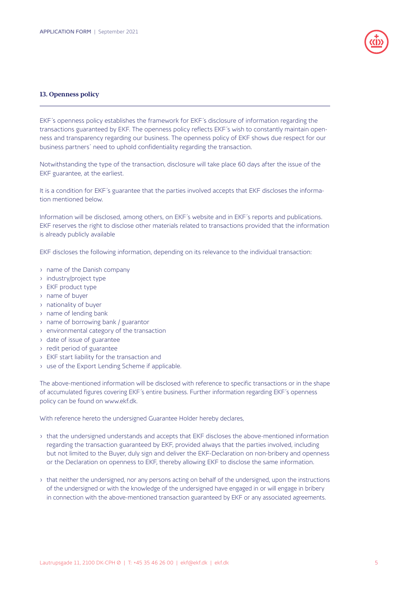

#### **13. Openness policy**

EKF´s openness policy establishes the framework for EKF´s disclosure of information regarding the transactions guaranteed by EKF. The openness policy reflects EKF´s wish to constantly maintain openness and transparency regarding our business. The openness policy of EKF shows due respect for our business partners´ need to uphold confidentiality regarding the transaction.

Notwithstanding the type of the transaction, disclosure will take place 60 days after the issue of the EKF guarantee, at the earliest.

It is a condition for EKF´s guarantee that the parties involved accepts that EKF discloses the information mentioned below.

Information will be disclosed, among others, on EKF´s website and in EKF´s reports and publications. EKF reserves the right to disclose other materials related to transactions provided that the information is already publicly available

EKF discloses the following information, depending on its relevance to the individual transaction:

- name of the Danish company
- industry/project type
- EKF product type
- name of buyer
- nationality of buyer
- name of lending bank
- name of borrowing bank / guarantor
- environmental category of the transaction
- date of issue of guarantee
- redit period of guarantee
- EKF start liability for the transaction and
- use of the Export Lending Scheme if applicable.

The above-mentioned information will be disclosed with reference to specific transactions or in the shape of accumulated figures covering EKF´s entire business. Further information regarding EKF´s openness policy can be found on www.ekf.dk.

With reference hereto the undersigned Guarantee Holder hereby declares,

- that the undersigned understands and accepts that EKF discloses the above-mentioned information regarding the transaction guaranteed by EKF, provided always that the parties involved, including but not limited to the Buyer, duly sign and deliver the EKF-Declaration on non-bribery and openness or the Declaration on openness to EKF, thereby allowing EKF to disclose the same information.
- that neither the undersigned, nor any persons acting on behalf of the undersigned, upon the instructions of the undersigned or with the knowledge of the undersigned have engaged in or will engage in bribery in connection with the above-mentioned transaction guaranteed by EKF or any associated agreements.